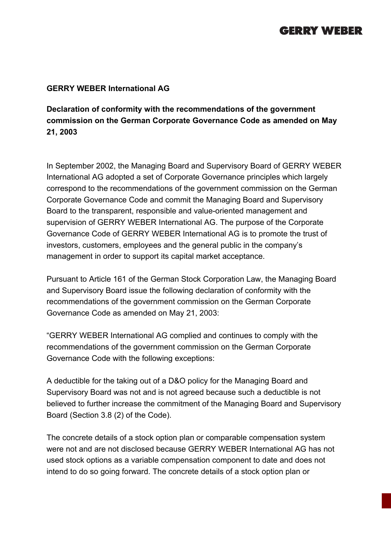## **GERRY WEBER**

## **GERRY WEBER International AG**

**Declaration of conformity with the recommendations of the government commission on the German Corporate Governance Code as amended on May 21, 2003**

In September 2002, the Managing Board and Supervisory Board of GERRY WEBER International AG adopted a set of Corporate Governance principles which largely correspond to the recommendations of the government commission on the German Corporate Governance Code and commit the Managing Board and Supervisory Board to the transparent, responsible and value-oriented management and supervision of GERRY WEBER International AG. The purpose of the Corporate Governance Code of GERRY WEBER International AG is to promote the trust of investors, customers, employees and the general public in the company's management in order to support its capital market acceptance.

Pursuant to Article 161 of the German Stock Corporation Law, the Managing Board and Supervisory Board issue the following declaration of conformity with the recommendations of the government commission on the German Corporate Governance Code as amended on May 21, 2003:

"GERRY WEBER International AG complied and continues to comply with the recommendations of the government commission on the German Corporate Governance Code with the following exceptions:

A deductible for the taking out of a D&O policy for the Managing Board and Supervisory Board was not and is not agreed because such a deductible is not believed to further increase the commitment of the Managing Board and Supervisory Board (Section 3.8 (2) of the Code).

The concrete details of a stock option plan or comparable compensation system were not and are not disclosed because GERRY WEBER International AG has not used stock options as a variable compensation component to date and does not intend to do so going forward. The concrete details of a stock option plan or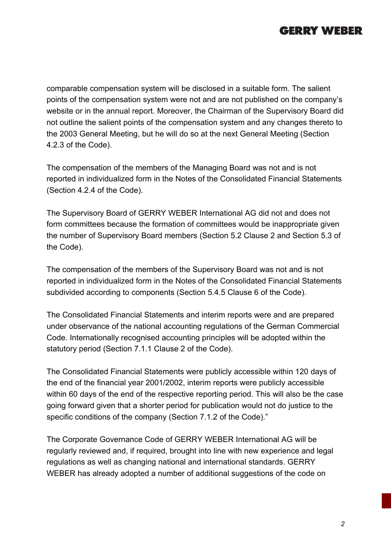

comparable compensation system will be disclosed in a suitable form. The salient points of the compensation system were not and are not published on the company's website or in the annual report. Moreover, the Chairman of the Supervisory Board did not outline the salient points of the compensation system and any changes thereto to the 2003 General Meeting, but he will do so at the next General Meeting (Section 4.2.3 of the Code).

The compensation of the members of the Managing Board was not and is not reported in individualized form in the Notes of the Consolidated Financial Statements (Section 4.2.4 of the Code).

The Supervisory Board of GERRY WEBER International AG did not and does not form committees because the formation of committees would be inappropriate given the number of Supervisory Board members (Section 5.2 Clause 2 and Section 5.3 of the Code).

The compensation of the members of the Supervisory Board was not and is not reported in individualized form in the Notes of the Consolidated Financial Statements subdivided according to components (Section 5.4.5 Clause 6 of the Code).

The Consolidated Financial Statements and interim reports were and are prepared under observance of the national accounting regulations of the German Commercial Code. Internationally recognised accounting principles will be adopted within the statutory period (Section 7.1.1 Clause 2 of the Code).

The Consolidated Financial Statements were publicly accessible within 120 days of the end of the financial year 2001/2002, interim reports were publicly accessible within 60 days of the end of the respective reporting period. This will also be the case going forward given that a shorter period for publication would not do justice to the specific conditions of the company (Section 7.1.2 of the Code)."

The Corporate Governance Code of GERRY WEBER International AG will be regularly reviewed and, if required, brought into line with new experience and legal regulations as well as changing national and international standards. GERRY WEBER has already adopted a number of additional suggestions of the code on